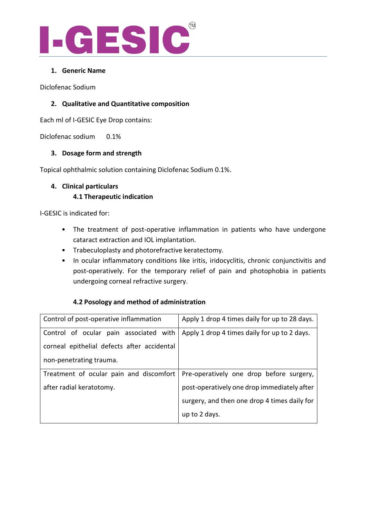

## **1. Generic Name**

Diclofenac Sodium

## **2. Qualitative and Quantitative composition**

Each ml of I-GESIC Eye Drop contains:

Diclofenac sodium 0.1%

## **3. Dosage form and strength**

Topical ophthalmic solution containing Diclofenac Sodium 0.1%.

## **4. Clinical particulars 4.1 Therapeutic indication**

I-GESIC is indicated for:

- The treatment of post-operative inflammation in patients who have undergone cataract extraction and IOL implantation.
- Trabeculoplasty and photorefractive keratectomy.
- In ocular inflammatory conditions like iritis, iridocyclitis, chronic conjunctivitis and post-operatively. For the temporary relief of pain and photophobia in patients undergoing corneal refractive surgery.

## **4.2 Posology and method of administration**

| Control of post-operative inflammation      | Apply 1 drop 4 times daily for up to 28 days. |
|---------------------------------------------|-----------------------------------------------|
| Control of ocular pain associated with      | Apply 1 drop 4 times daily for up to 2 days.  |
| corneal epithelial defects after accidental |                                               |
| non-penetrating trauma.                     |                                               |
| Treatment of ocular pain and discomfort     | Pre-operatively one drop before surgery,      |
| after radial keratotomy.                    | post-operatively one drop immediately after   |
|                                             | surgery, and then one drop 4 times daily for  |
|                                             | up to 2 days.                                 |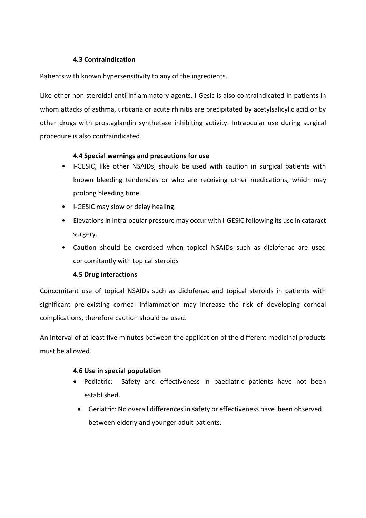## **4.3 Contraindication**

Patients with known hypersensitivity to any of the ingredients.

Like other non-steroidal anti-inflammatory agents, I Gesic is also contraindicated in patients in whom attacks of asthma, urticaria or acute rhinitis are precipitated by acetylsalicylic acid or by other drugs with prostaglandin synthetase inhibiting activity. Intraocular use during surgical procedure is also contraindicated.

## **4.4 Special warnings and precautions for use**

- I-GESIC, like other NSAIDs, should be used with caution in surgical patients with known bleeding tendencies or who are receiving other medications, which may prolong bleeding time.
- I-GESIC may slow or delay healing.
- Elevations in intra-ocular pressure may occur with I-GESIC following its use in cataract surgery.
- Caution should be exercised when topical NSAIDs such as diclofenac are used concomitantly with topical steroids

## **4.5 Drug interactions**

Concomitant use of topical NSAIDs such as diclofenac and topical steroids in patients with significant pre-existing corneal inflammation may increase the risk of developing corneal complications, therefore caution should be used.

An interval of at least five minutes between the application of the different medicinal products must be allowed.

## **4.6 Use in special population**

- Pediatric: Safety and effectiveness in paediatric patients have not been established.
	- Geriatric: No overall differences in safety or effectiveness have been observed between elderly and younger adult patients.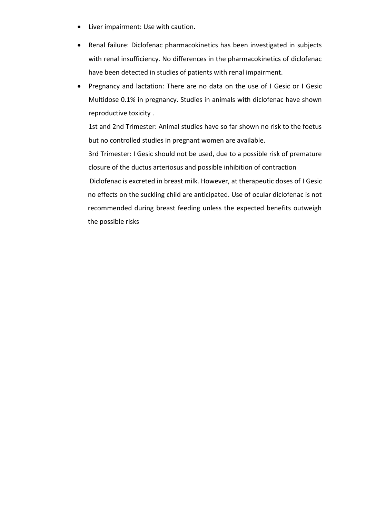- Liver impairment: Use with caution.
- Renal failure: Diclofenac pharmacokinetics has been investigated in subjects with renal insufficiency. No differences in the pharmacokinetics of diclofenac have been detected in studies of patients with renal impairment.
- Pregnancy and lactation: There are no data on the use of I Gesic or I Gesic Multidose 0.1% in pregnancy. Studies in animals with diclofenac have shown reproductive toxicity .

1st and 2nd Trimester: Animal studies have so far shown no risk to the foetus but no controlled studies in pregnant women are available.

3rd Trimester: I Gesic should not be used, due to a possible risk of premature closure of the ductus arteriosus and possible inhibition of contraction

Diclofenac is excreted in breast milk. However, at therapeutic doses of I Gesic no effects on the suckling child are anticipated. Use of ocular diclofenac is not recommended during breast feeding unless the expected benefits outweigh the possible risks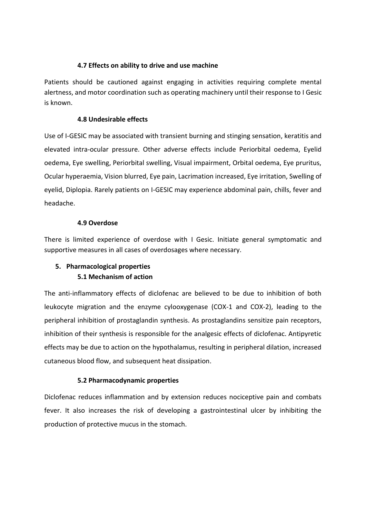### **4.7 Effects on ability to drive and use machine**

Patients should be cautioned against engaging in activities requiring complete mental alertness, and motor coordination such as operating machinery until their response to I Gesic is known.

### **4.8 Undesirable effects**

Use of I-GESIC may be associated with transient burning and stinging sensation, keratitis and elevated intra-ocular pressure. Other adverse effects include Periorbital oedema, Eyelid oedema, Eye swelling, Periorbital swelling, Visual impairment, Orbital oedema, Eye pruritus, Ocular hyperaemia, Vision blurred, Eye pain, Lacrimation increased, Eye irritation, Swelling of eyelid, Diplopia. Rarely patients on I-GESIC may experience abdominal pain, chills, fever and headache.

### **4.9 Overdose**

There is limited experience of overdose with I Gesic. Initiate general symptomatic and supportive measures in all cases of overdosages where necessary.

# **5. Pharmacological properties 5.1 Mechanism of action**

The anti-inflammatory effects of diclofenac are believed to be due to inhibition of both leukocyte migration and the enzyme cylooxygenase (COX-1 and COX-2), leading to the peripheral inhibition of prostaglandin synthesis. As prostaglandins sensitize pain receptors, inhibition of their synthesis is responsible for the analgesic effects of diclofenac. Antipyretic effects may be due to action on the hypothalamus, resulting in peripheral dilation, increased cutaneous blood flow, and subsequent heat dissipation.

## **5.2 Pharmacodynamic properties**

Diclofenac reduces inflammation and by extension reduces nociceptive pain and combats fever. It also increases the risk of developing a gastrointestinal ulcer by inhibiting the production of protective mucus in the stomach.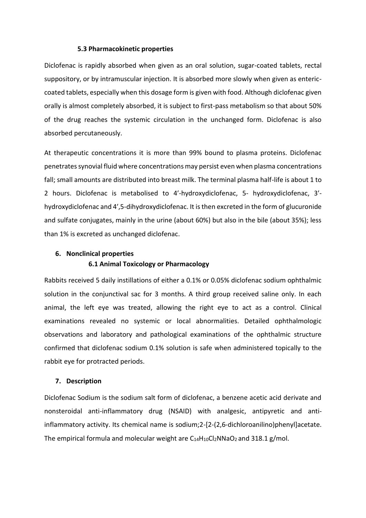#### **5.3 Pharmacokinetic properties**

Diclofenac is rapidly absorbed when given as an oral solution, sugar-coated tablets, rectal suppository, or by intramuscular injection. It is absorbed more slowly when given as entericcoated tablets, especially when this dosage form is given with food. Although diclofenac given orally is almost completely absorbed, it is subject to first-pass metabolism so that about 50% of the drug reaches the systemic circulation in the unchanged form. Diclofenac is also absorbed percutaneously.

At therapeutic concentrations it is more than 99% bound to plasma proteins. Diclofenac penetrates synovial fluid where concentrations may persist even when plasma concentrations fall; small amounts are distributed into breast milk. The terminal plasma half-life is about 1 to 2 hours. Diclofenac is metabolised to 4′-hydroxydiclofenac, 5- hydroxydiclofenac, 3′ hydroxydiclofenac and 4′,5-dihydroxydiclofenac. It is then excreted in the form of glucuronide and sulfate conjugates, mainly in the urine (about 60%) but also in the bile (about 35%); less than 1% is excreted as unchanged diclofenac.

## **6. Nonclinical properties 6.1 Animal Toxicology or Pharmacology**

Rabbits received 5 daily instillations of either a 0.1% or 0.05% diclofenac sodium ophthalmic solution in the conjunctival sac for 3 months. A third group received saline only. In each animal, the left eye was treated, allowing the right eye to act as a control. Clinical examinations revealed no systemic or local abnormalities. Detailed ophthalmologic observations and laboratory and pathological examinations of the ophthalmic structure confirmed that diclofenac sodium 0.1% solution is safe when administered topically to the rabbit eye for protracted periods.

#### **7. Description**

Diclofenac Sodium is the sodium salt form of diclofenac, a benzene acetic acid derivate and nonsteroidal anti-inflammatory drug (NSAID) with analgesic, antipyretic and antiinflammatory activity. Its chemical name is sodium;2-[2-(2,6-dichloroanilino)phenyl]acetate. The empirical formula and molecular weight are  $C_{14}H_{10}Cl_2NNaO_2$  and 318.1 g/mol.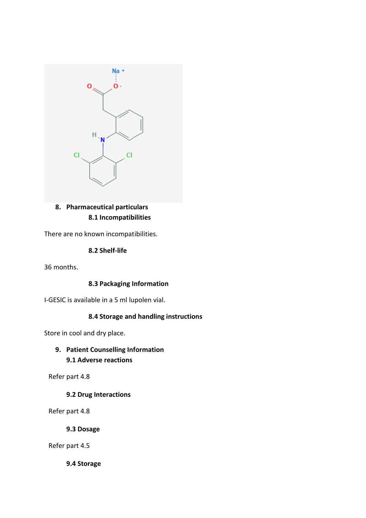

# **8. Pharmaceutical particulars 8.1 Incompatibilities**

There are no known incompatibilities.

**8.2 Shelf-life**

36 months.

## **8.3 Packaging Information**

I-GESIC is available in a 5 ml lupolen vial.

# **8.4 Storage and handling instructions**

Store in cool and dry place.

# **9. Patient Counselling Information 9.1 Adverse reactions**

Refer part 4.8

# **9.2 Drug Interactions**

Refer part 4.8

**9.3 Dosage**

Refer part 4.5

**9.4 Storage**